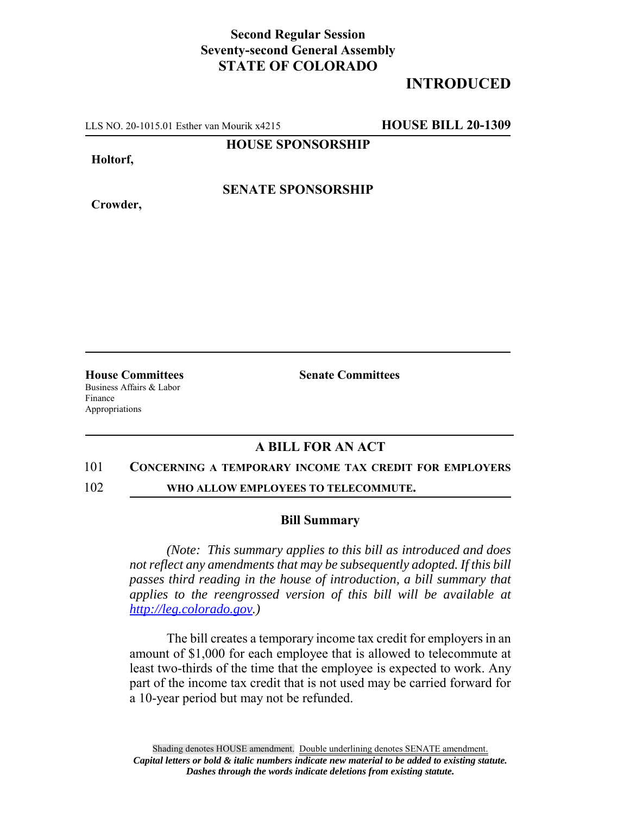## **Second Regular Session Seventy-second General Assembly STATE OF COLORADO**

# **INTRODUCED**

LLS NO. 20-1015.01 Esther van Mourik x4215 **HOUSE BILL 20-1309**

### **HOUSE SPONSORSHIP**

**Holtorf,**

**Crowder,**

### **SENATE SPONSORSHIP**

**House Committees Senate Committees** Business Affairs & Labor Finance Appropriations

### **A BILL FOR AN ACT**

#### 101 **CONCERNING A TEMPORARY INCOME TAX CREDIT FOR EMPLOYERS**

102 **WHO ALLOW EMPLOYEES TO TELECOMMUTE.**

#### **Bill Summary**

*(Note: This summary applies to this bill as introduced and does not reflect any amendments that may be subsequently adopted. If this bill passes third reading in the house of introduction, a bill summary that applies to the reengrossed version of this bill will be available at http://leg.colorado.gov.)*

The bill creates a temporary income tax credit for employers in an amount of \$1,000 for each employee that is allowed to telecommute at least two-thirds of the time that the employee is expected to work. Any part of the income tax credit that is not used may be carried forward for a 10-year period but may not be refunded.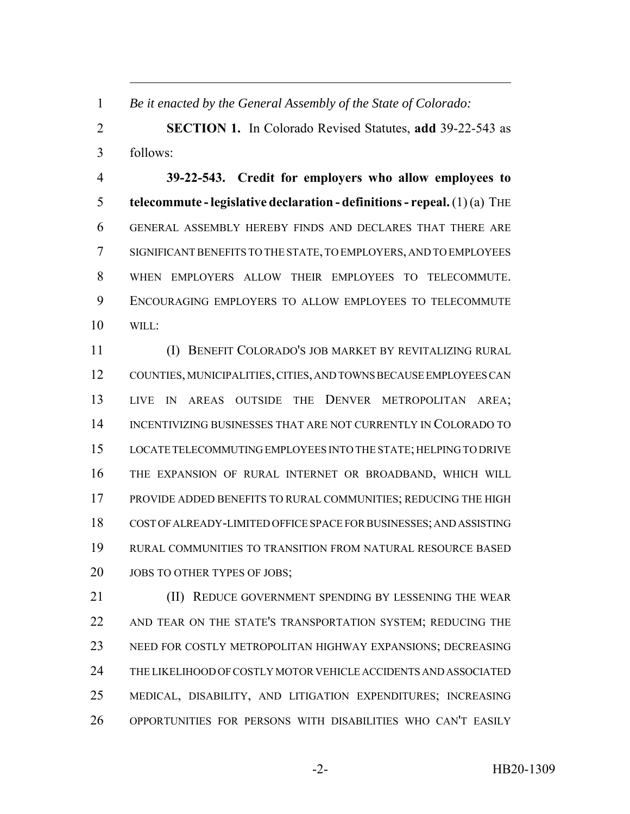*Be it enacted by the General Assembly of the State of Colorado:*

 **SECTION 1.** In Colorado Revised Statutes, **add** 39-22-543 as follows:

 **39-22-543. Credit for employers who allow employees to telecommute - legislative declaration - definitions - repeal.** (1) (a) THE GENERAL ASSEMBLY HEREBY FINDS AND DECLARES THAT THERE ARE SIGNIFICANT BENEFITS TO THE STATE, TO EMPLOYERS, AND TO EMPLOYEES WHEN EMPLOYERS ALLOW THEIR EMPLOYEES TO TELECOMMUTE. ENCOURAGING EMPLOYERS TO ALLOW EMPLOYEES TO TELECOMMUTE WILL:

 (I) BENEFIT COLORADO'S JOB MARKET BY REVITALIZING RURAL COUNTIES, MUNICIPALITIES, CITIES, AND TOWNS BECAUSE EMPLOYEES CAN LIVE IN AREAS OUTSIDE THE DENVER METROPOLITAN AREA; INCENTIVIZING BUSINESSES THAT ARE NOT CURRENTLY IN COLORADO TO LOCATE TELECOMMUTING EMPLOYEES INTO THE STATE; HELPING TO DRIVE THE EXPANSION OF RURAL INTERNET OR BROADBAND, WHICH WILL PROVIDE ADDED BENEFITS TO RURAL COMMUNITIES; REDUCING THE HIGH COST OF ALREADY-LIMITED OFFICE SPACE FOR BUSINESSES; AND ASSISTING RURAL COMMUNITIES TO TRANSITION FROM NATURAL RESOURCE BASED 20 JOBS TO OTHER TYPES OF JOBS;

**(II) REDUCE GOVERNMENT SPENDING BY LESSENING THE WEAR**  AND TEAR ON THE STATE'S TRANSPORTATION SYSTEM; REDUCING THE NEED FOR COSTLY METROPOLITAN HIGHWAY EXPANSIONS; DECREASING THE LIKELIHOOD OF COSTLY MOTOR VEHICLE ACCIDENTS AND ASSOCIATED MEDICAL, DISABILITY, AND LITIGATION EXPENDITURES; INCREASING OPPORTUNITIES FOR PERSONS WITH DISABILITIES WHO CAN'T EASILY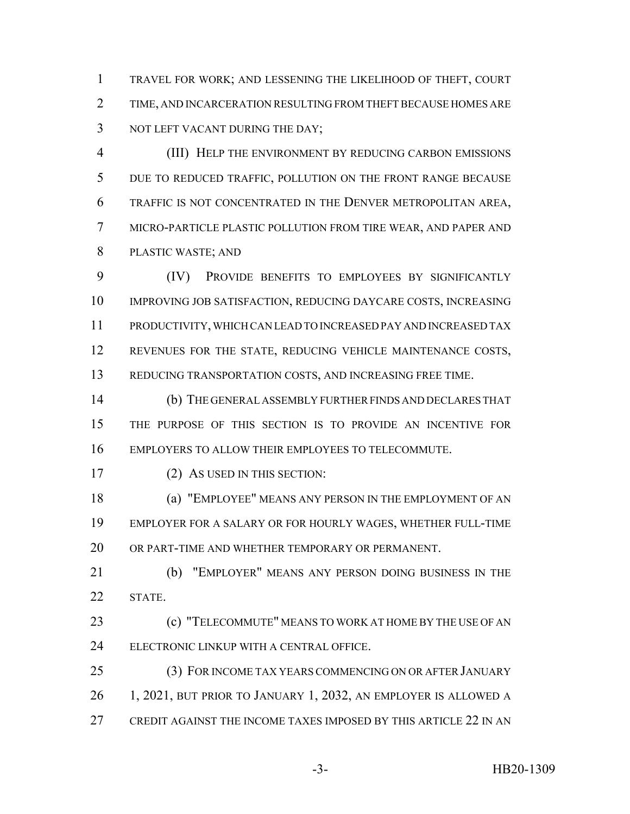TRAVEL FOR WORK; AND LESSENING THE LIKELIHOOD OF THEFT, COURT TIME, AND INCARCERATION RESULTING FROM THEFT BECAUSE HOMES ARE 3 NOT LEFT VACANT DURING THE DAY;

 (III) HELP THE ENVIRONMENT BY REDUCING CARBON EMISSIONS DUE TO REDUCED TRAFFIC, POLLUTION ON THE FRONT RANGE BECAUSE TRAFFIC IS NOT CONCENTRATED IN THE DENVER METROPOLITAN AREA, MICRO-PARTICLE PLASTIC POLLUTION FROM TIRE WEAR, AND PAPER AND PLASTIC WASTE; AND

 (IV) PROVIDE BENEFITS TO EMPLOYEES BY SIGNIFICANTLY IMPROVING JOB SATISFACTION, REDUCING DAYCARE COSTS, INCREASING PRODUCTIVITY, WHICH CAN LEAD TO INCREASED PAY AND INCREASED TAX REVENUES FOR THE STATE, REDUCING VEHICLE MAINTENANCE COSTS, REDUCING TRANSPORTATION COSTS, AND INCREASING FREE TIME.

 (b) THE GENERAL ASSEMBLY FURTHER FINDS AND DECLARES THAT THE PURPOSE OF THIS SECTION IS TO PROVIDE AN INCENTIVE FOR EMPLOYERS TO ALLOW THEIR EMPLOYEES TO TELECOMMUTE.

(2) AS USED IN THIS SECTION:

 (a) "EMPLOYEE" MEANS ANY PERSON IN THE EMPLOYMENT OF AN EMPLOYER FOR A SALARY OR FOR HOURLY WAGES, WHETHER FULL-TIME OR PART-TIME AND WHETHER TEMPORARY OR PERMANENT.

 (b) "EMPLOYER" MEANS ANY PERSON DOING BUSINESS IN THE STATE.

 (c) "TELECOMMUTE" MEANS TO WORK AT HOME BY THE USE OF AN ELECTRONIC LINKUP WITH A CENTRAL OFFICE.

 (3) FOR INCOME TAX YEARS COMMENCING ON OR AFTER JANUARY 1, 2021, BUT PRIOR TO JANUARY 1, 2032, AN EMPLOYER IS ALLOWED A CREDIT AGAINST THE INCOME TAXES IMPOSED BY THIS ARTICLE 22 IN AN